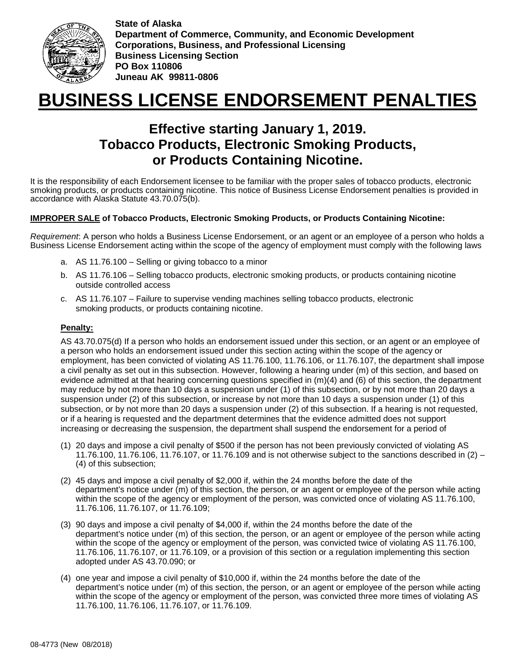

**State of Alaska Department of Commerce, Community, and Economic Development Corporations, Business, and Professional Licensing Business Licensing Section PO Box 110806 Juneau AK 99811-0806**

# **BUSINESS LICENSE ENDORSEMENT PENALTIES**

# **Effective starting January 1, 2019. Tobacco Products, Electronic Smoking Products, or Products Containing Nicotine.**

It is the responsibility of each Endorsement licensee to be familiar with the proper sales of tobacco products, electronic smoking products, or products containing nicotine. This notice of Business License Endorsement penalties is provided in accordance with Alaska Statute 43.70.075(b).

## **IMPROPER SALE of Tobacco Products, Electronic Smoking Products, or Products Containing Nicotine:**

*Requirement*: A person who holds a Business License Endorsement, or an agent or an employee of a person who holds a Business License Endorsement acting within the scope of the agency of employment must comply with the following laws

- a. AS 11.76.100 Selling or giving tobacco to a minor
- b. AS 11.76.106 Selling tobacco products, electronic smoking products, or products containing nicotine outside controlled access
- c. AS 11.76.107 Failure to supervise vending machines selling tobacco products, electronic smoking products, or products containing nicotine.

#### **Penalty:**

AS 43.70.075(d) If a person who holds an endorsement issued under this section, or an agent or an employee of a person who holds an endorsement issued under this section acting within the scope of the agency or employment, has been convicted of violating AS 11.76.100, 11.76.106, or 11.76.107, the department shall impose a civil penalty as set out in this subsection. However, following a hearing under (m) of this section, and based on evidence admitted at that hearing concerning questions specified in (m)(4) and (6) of this section, the department may reduce by not more than 10 days a suspension under (1) of this subsection, or by not more than 20 days a suspension under (2) of this subsection, or increase by not more than 10 days a suspension under (1) of this subsection, or by not more than 20 days a suspension under (2) of this subsection. If a hearing is not requested, or if a hearing is requested and the department determines that the evidence admitted does not support increasing or decreasing the suspension, the department shall suspend the endorsement for a period of

- (1) 20 days and impose a civil penalty of \$500 if the person has not been previously convicted of violating AS 11.76.100, 11.76.106, 11.76.107, or 11.76.109 and is not otherwise subject to the sanctions described in (2) – (4) of this subsection;
- (2) 45 days and impose a civil penalty of \$2,000 if, within the 24 months before the date of the department's notice under (m) of this section, the person, or an agent or employee of the person while acting within the scope of the agency or employment of the person, was convicted once of violating AS 11.76.100, 11.76.106, 11.76.107, or 11.76.109;
- (3) 90 days and impose a civil penalty of \$4,000 if, within the 24 months before the date of the department's notice under (m) of this section, the person, or an agent or employee of the person while acting within the scope of the agency or employment of the person, was convicted twice of violating AS 11.76.100, 11.76.106, 11.76.107, or 11.76.109, or a provision of this section or a regulation implementing this section adopted under AS 43.70.090; or
- (4) one year and impose a civil penalty of \$10,000 if, within the 24 months before the date of the department's notice under (m) of this section, the person, or an agent or employee of the person while acting within the scope of the agency or employment of the person, was convicted three more times of violating AS 11.76.100, 11.76.106, 11.76.107, or 11.76.109.